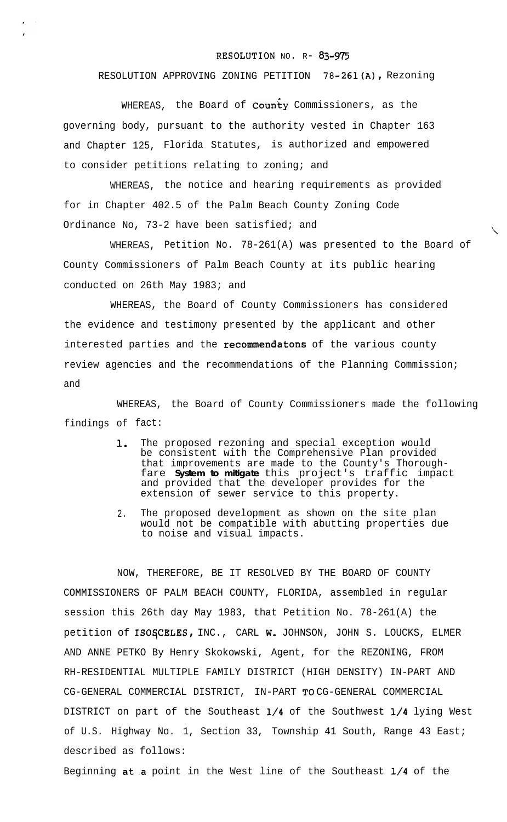## RESOLUTION NO. R- 83-975

## RESOLUTION APPROVING ZONING PETITION 78-261(A), Rezoning

WHEREAS, the Board of  $\text{Count}_{Y}$  Commissioners, as the governing body, pursuant to the authority vested in Chapter 163 and Chapter 125, Florida Statutes, is authorized and empowered to consider petitions relating to zoning; and

WHEREAS, the notice and hearing requirements as provided for in Chapter 402.5 of the Palm Beach County Zoning Code Ordinance No, 73-2 have been satisfied; and

WHEREAS, Petition No. 78-261(A) was presented to the Board of County Commissioners of Palm Beach County at its public hearing conducted on 26th May 1983; and

WHEREAS, the Board of County Commissioners has considered the evidence and testimony presented by the applicant and other interested parties and the recommendatons of the various county review agencies and the recommendations of the Planning Commission; and

WHEREAS, the Board of County Commissioners made the following findings of fact:

- 1. The proposed rezoning and special exception would be consistent with the Comprehensive Plan provided that improvements are made to the County's Thoroughfare **System to mitigate** this project's traffic impact and provided that the developer provides for the extension of sewer service to this property.
- 2. The proposed development as shown on the site plan would not be compatible with abutting properties due to noise and visual impacts.

NOW, THEREFORE, BE IT RESOLVED BY THE BOARD OF COUNTY COMMISSIONERS OF PALM BEACH COUNTY, FLORIDA, assembled in regular session this 26th day May 1983, that Petition No. 78-261(A) the petition of ISOSCELES, INC., CARL W. JOHNSON, JOHN S. LOUCKS, ELMER AND ANNE PETKO By Henry Skokowski, Agent, for the REZONING, FROM RH-RESIDENTIAL MULTIPLE FAMILY DISTRICT (HIGH DENSITY) IN-PART AND CG-GENERAL COMMERCIAL DISTRICT, IN-PART TO CG-GENERAL COMMERCIAL DISTRICT on part of the Southeast l/4 of the Southwest l/4 lying West of U.S. Highway No. 1, Section 33, Township 41 South, Range 43 East; described as follows:

Beginning at.a point in the West line of the Southeast l/4 of the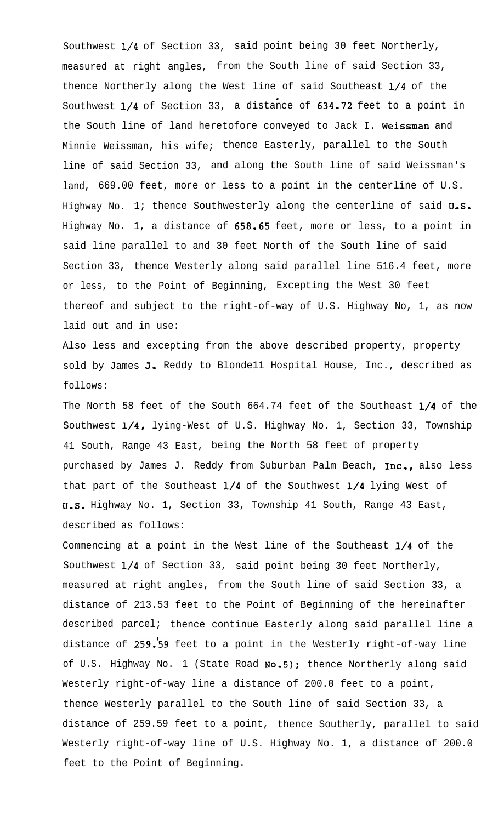Southwest l/4 of Section 33, said point being 30 feet Northerly, measured at right angles, from the South line of said Section 33, thence Northerly along the West line of said Southeast l/4 of the  $\blacksquare$ Southwest l/4 of Section 33, a distance of 634.72 feet to a point in the South line of land heretofore conveyed to Jack I. Weissman and Minnie Weissman, his wife; thence Easterly, parallel to the South line of said Section 33, and along the South line of said Weissman's land, 669.00 feet, more or less to a point in the centerline of U.S. Highway No. 1; thence Southwesterly along the centerline of said  $U.S.$ Highway No. 1, a distance of 658.65 feet, more or less, to a point in said line parallel to and 30 feet North of the South line of said Section 33, thence Westerly along said parallel line 516.4 feet, more or less, to the Point of Beginning, Excepting the West 30 feet thereof and subject to the right-of-way of U.S. Highway No, 1, as now laid out and in use:

Also less and excepting from the above described property, property sold by James J. Reddy to Blondell Hospital House, Inc., described as follows:

The North 58 feet of the South 664.74 feet of the Southeast 1/4 of the Southwest 1/4, lying-West of U.S. Highway No. 1, Section 33, Township 41 South, Range 43 East, being the North 58 feet of property purchased by James J. Reddy from Suburban Palm Beach, Inc., also less that part of the Southeast  $1/4$  of the Southwest  $1/4$  lying West of U.S. Highway No. 1, Section 33, Township 41 South, Range 43 East, described as follows:

Commencing at a point in the West line of the Southeast l/4 of the Southwest l/4 of Section 33, said point being 30 feet Northerly, measured at right angles, from the South line of said Section 33, a distance of 213.53 feet to the Point of Beginning of the hereinafter described parcel; thence continue Easterly along said parallel line a distance of 259.'59 feet to a point in the Westerly right-of-way line of U.S. Highway No. 1 (State Road No.5); thence Northerly along said Westerly right-of-way line a distance of 200.0 feet to a point, thence Westerly parallel to the South line of said Section 33, a distance of 259.59 feet to a point, thence Southerly, parallel to said Westerly right-of-way line of U.S. Highway No. 1, a distance of 200.0 feet to the Point of Beginning.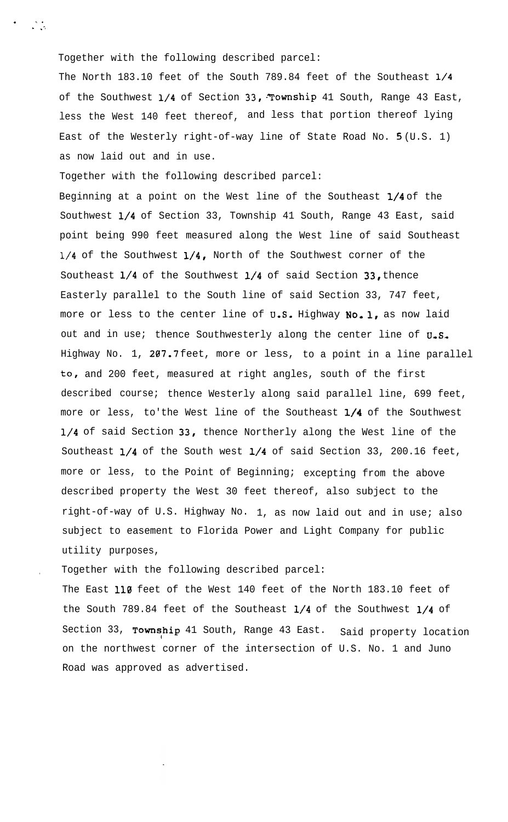Together with the following described parcel:

The North 183.10 feet of the South 789.84 feet of the Southeast 1/4 of the Southwest  $1/4$  of Section 33, Township 41 South, Range 43 East, less the West 140 feet thereof, and less that portion thereof lying East of the Westerly right-of-way line of State Road No. 5 (U.S. 1) as now laid out and in use.

Together with the following described parcel:

Beginning at a point on the West line of the Southeast 1/4 of the Southwest l/4 of Section 33, Township 41 South, Range 43 East, said point being 990 feet measured along the West line of said Southeast l/4 of the Southwest l/4, North of the Southwest corner of the Southeast l/4 of the Southwest l/4 of said Section 33, thence Easterly parallel to the South line of said Section 33, 747 feet, more or less to the center line of U.S. Highway No. 1, as now laid out and in use; thence Southwesterly along the center line of  $U_{\bullet}S_{\bullet}$ Highway No. 1, 207.7 feet, more or less, to a point in a line parallel to, and 200 feet, measured at right angles, south of the first described course; thence Westerly along said parallel line, 699 feet, more or less, to'the West line of the Southeast 1/4 of the Southwest 1/4 of said Section 33, thence Northerly along the West line of the Southeast  $1/4$  of the South west  $1/4$  of said Section 33, 200.16 feet, more or less, to the Point of Beginning; excepting from the above described property the West 30 feet thereof, also subject to the right-of-way of U.S. Highway No. 1, as now laid out and in use; also subject to easement to Florida Power and Light Company for public utility purposes,

. Together with the following described parcel:

The East 110 feet of the West 140 feet of the North 183.10 feet of the South 789.84 feet of the Southeast l/4 of the Southwest l/4 of Section 33, Township 41 South, Range 43 East. Said property location on the northwest corner of the intersection of U.S. No. 1 and Juno Road was approved as advertised.

.<br>" .i .i .i .i